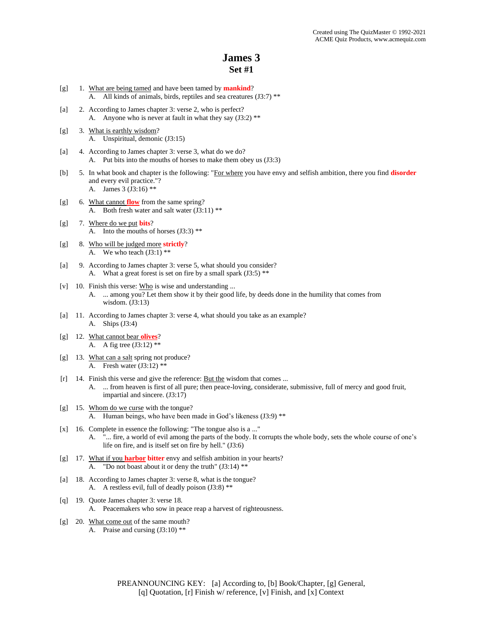- [g] 1. What are being tamed and have been tamed by **mankind**? A. All kinds of animals, birds, reptiles and sea creatures (J3:7) \*\*
- [a] 2. According to James chapter 3: verse 2, who is perfect? A. Anyone who is never at fault in what they say (J3:2) \*\*
- [g] 3. What is earthly wisdom? A. Unspiritual, demonic (J3:15)
- [a] 4. According to James chapter 3: verse 3, what do we do? A. Put bits into the mouths of horses to make them obey us (J3:3)
- [b] 5. In what book and chapter is the following: "For where you have envy and selfish ambition, there you find **disorder** and every evil practice."? A. James 3 (J3:16) \*\*
- [g] 6. What cannot **flow** from the same spring? A. Both fresh water and salt water (J3:11) \*\*
- [g] 7. Where do we put **bits**? A. Into the mouths of horses  $(J3:3)$ <sup>\*\*</sup>
- [g] 8. Who will be judged more **strictly**? A. We who teach  $(J3:1)$  \*\*
- [a] 9. According to James chapter 3: verse 5, what should you consider? A. What a great forest is set on fire by a small spark  $(J3:5)$ <sup>\*\*</sup>
- [v] 10. Finish this verse: Who is wise and understanding ... A. ... among you? Let them show it by their good life, by deeds done in the humility that comes from wisdom. (J3:13)
- [a] 11. According to James chapter 3: verse 4, what should you take as an example? A. Ships (J3:4)
- [g] 12. What cannot bear **olives**? A. A fig tree (J3:12) \*\*
- [g] 13. What can a salt spring not produce? A. Fresh water  $(J3:12)$ \*\*
- [r] 14. Finish this verse and give the reference: But the wisdom that comes ... A. ... from heaven is first of all pure; then peace-loving, considerate, submissive, full of mercy and good fruit, impartial and sincere. (J3:17)
- [g] 15. Whom do we curse with the tongue? A. Human beings, who have been made in God's likeness (J3:9) \*\*
- [x] 16. Complete in essence the following: "The tongue also is a ..." A. "... fire, a world of evil among the parts of the body. It corrupts the whole body, sets the whole course of one's life on fire, and is itself set on fire by hell." (J3:6)
- [g] 17. What if you **harbor bitter** envy and selfish ambition in your hearts? A. "Do not boast about it or deny the truth" (J3:14) \*\*
- [a] 18. According to James chapter 3: verse 8, what is the tongue? A. A restless evil, full of deadly poison (J3:8) \*\*
- [q] 19. Quote James chapter 3: verse 18. A. Peacemakers who sow in peace reap a harvest of righteousness.
- [g] 20. What come out of the same mouth? A. Praise and cursing (J3:10) \*\*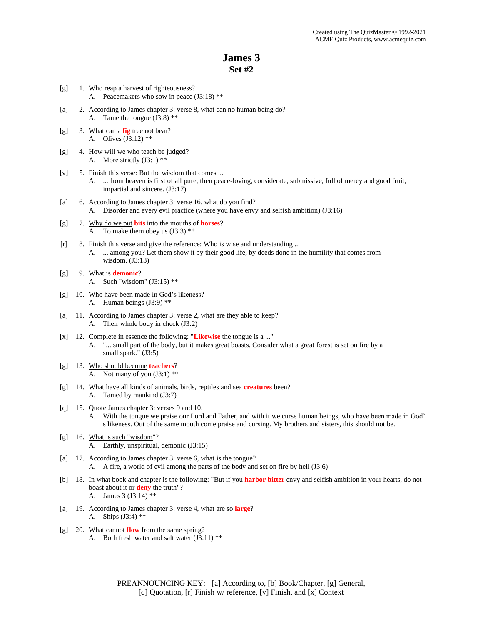- [g] 1. Who reap a harvest of righteousness? A. Peacemakers who sow in peace (J3:18) \*\*
- [a] 2. According to James chapter 3: verse 8, what can no human being do? A. Tame the tongue (J3:8) \*\*
- [g] 3. What can a **fig** tree not bear? A. Olives (J3:12) \*\*
- [g] 4. How will we who teach be judged? A. More strictly (J3:1) \*\*
- [v] 5. Finish this verse: But the wisdom that comes ...
	- A. ... from heaven is first of all pure; then peace-loving, considerate, submissive, full of mercy and good fruit, impartial and sincere. (J3:17)
- [a] 6. According to James chapter 3: verse 16, what do you find? A. Disorder and every evil practice (where you have envy and selfish ambition) (J3:16)
- [g] 7. Why do we put **bits** into the mouths of **horses**? A. To make them obey us (J3:3) \*\*
- [r] 8. Finish this verse and give the reference: Who is wise and understanding ... A. ... among you? Let them show it by their good life, by deeds done in the humility that comes from wisdom. (J3:13)
- [g] 9. What is **demonic**? A. Such "wisdom" (J3:15) \*\*
- [g] 10. Who have been made in God's likeness? A. Human beings (J3:9) \*\*
- [a] 11. According to James chapter 3: verse 2, what are they able to keep? A. Their whole body in check (J3:2)
- [x] 12. Complete in essence the following: "**Likewise** the tongue is a ..." A. "... small part of the body, but it makes great boasts. Consider what a great forest is set on fire by a small spark." (J3:5)
- [g] 13. Who should become **teachers**? A. Not many of you  $(J3:1)$  \*\*
- [g] 14. What have all kinds of animals, birds, reptiles and sea **creatures** been? A. Tamed by mankind (J3:7)
- [q] 15. Quote James chapter 3: verses 9 and 10.
	- With the tongue we praise our Lord and Father, and with it we curse human beings, who have been made in God' s likeness. Out of the same mouth come praise and cursing. My brothers and sisters, this should not be.
- [g] 16. What is such "wisdom"? A. Earthly, unspiritual, demonic (J3:15)
- [a] 17. According to James chapter 3: verse 6, what is the tongue? A. A fire, a world of evil among the parts of the body and set on fire by hell (J3:6)
- [b] 18. In what book and chapter is the following: "But if you **harbor bitter** envy and selfish ambition in your hearts, do not boast about it or **deny** the truth"? A. James 3 (J3:14) \*\*
- [a] 19. According to James chapter 3: verse 4, what are so **large**? A. Ships (J3:4) \*\*
- [g] 20. What cannot **flow** from the same spring? A. Both fresh water and salt water (J3:11) \*\*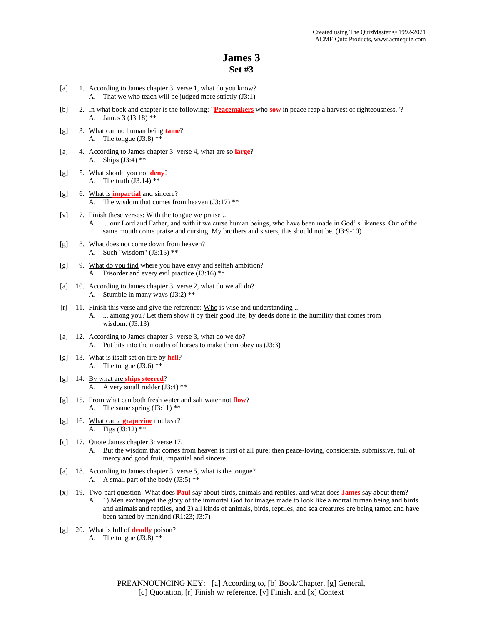- [a] 1. According to James chapter 3: verse 1, what do you know? A. That we who teach will be judged more strictly (J3:1)
- [b] 2. In what book and chapter is the following: "**Peacemakers** who **sow** in peace reap a harvest of righteousness."? A. James 3 (J3:18) \*\*
- [g] 3. What can no human being **tame**? A. The tongue  $(J3:8)$  \*\*
- [a] 4. According to James chapter 3: verse 4, what are so **large**? A. Ships (J3:4) \*\*
- [g] 5. What should you not **deny**? A. The truth  $(J3:14)$  \*\*
- [g] 6. What is **impartial** and sincere? A. The wisdom that comes from heaven  $(J3:17)$ <sup>\*\*</sup>
- [v]  $7.$  Finish these verses: With the tongue we praise ... A. ... our Lord and Father, and with it we curse human beings, who have been made in God' s likeness. Out of the same mouth come praise and cursing. My brothers and sisters, this should not be. (J3:9-10)
- [g] 8. What does not come down from heaven? A. Such "wisdom" (J3:15) \*\*
- [g] 9. What do you find where you have envy and selfish ambition? A. Disorder and every evil practice (J3:16) \*\*
- [a] 10. According to James chapter 3: verse 2, what do we all do? A. Stumble in many ways (J3:2) \*\*
- [r] 11. Finish this verse and give the reference: Who is wise and understanding ...
	- A. ... among you? Let them show it by their good life, by deeds done in the humility that comes from wisdom. (J3:13)
- [a] 12. According to James chapter 3: verse 3, what do we do? A. Put bits into the mouths of horses to make them obey us (J3:3)
- [g] 13. What is itself set on fire by **hell**? A. The tongue  $(J3:6)$  \*\*
- [g] 14. By what are **ships steered**? A. A very small rudder (J3:4) \*\*
- [g] 15. From what can both fresh water and salt water not **flow**? A. The same spring  $(J3:11)$ \*\*
- [g] 16. What can a **grapevine** not bear? A. Figs (J3:12) \*\*
- [q] 17. Quote James chapter 3: verse 17. A. But the wisdom that comes from heaven is first of all pure; then peace-loving, considerate, submissive, full of mercy and good fruit, impartial and sincere.
- [a] 18. According to James chapter 3: verse 5, what is the tongue? A. A small part of the body (J3:5) \*\*
- [x] 19. Two-part question: What does **Paul** say about birds, animals and reptiles, and what does **James** say about them? A. 1) Men exchanged the glory of the immortal God for images made to look like a mortal human being and birds and animals and reptiles, and 2) all kinds of animals, birds, reptiles, and sea creatures are being tamed and have been tamed by mankind (R1:23; J3:7)
- [g] 20. What is full of **deadly** poison? A. The tongue  $(J3:8)$  \*\*